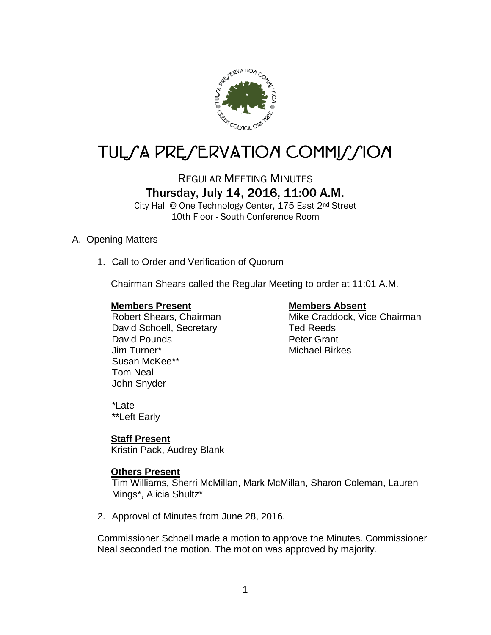

# TULSA PRESERVATION COMMISSION

# REGULAR MEETING MINUTES Thursday, July 14, 2016, 11:00 A.M.

City Hall @ One Technology Center, 175 East 2nd Street 10th Floor - South Conference Room

#### A. Opening Matters

1. Call to Order and Verification of Quorum

Chairman Shears called the Regular Meeting to order at 11:01 A.M.

#### **Members Present Members Absent**

David Schoell, Secretary Ted Reeds David Pounds **Peter Grant** Jim Turner\* Michael Birkes Susan McKee\*\* Tom Neal John Snyder

Robert Shears, Chairman Mike Craddock, Vice Chairman

\*Late \*\*Left Early

### **Staff Present**

Kristin Pack, Audrey Blank

### **Others Present**

Tim Williams, Sherri McMillan, Mark McMillan, Sharon Coleman, Lauren Mings\*, Alicia Shultz\*

2. Approval of Minutes from June 28, 2016.

Commissioner Schoell made a motion to approve the Minutes. Commissioner Neal seconded the motion. The motion was approved by majority.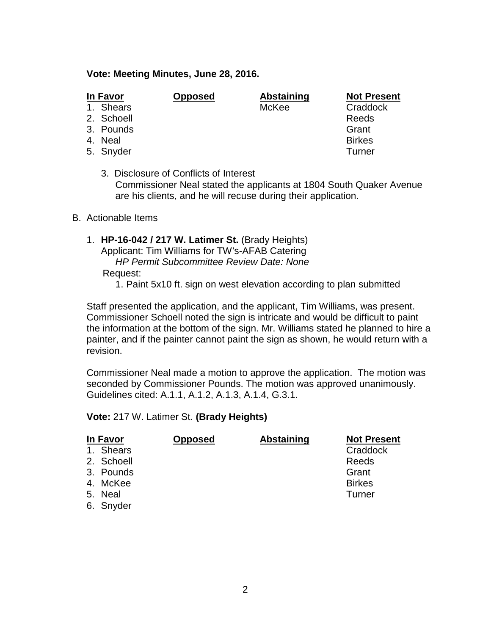#### **Vote: Meeting Minutes, June 28, 2016.**

| In Favor   | <b>Opposed</b> | <b>Abstaining</b> | <b>Not Present</b> |
|------------|----------------|-------------------|--------------------|
| 1. Shears  |                | McKee             | Craddock           |
| 2. Schoell |                |                   | Reeds              |
| 3. Pounds  |                |                   | Grant              |
| 4. Neal    |                |                   | <b>Birkes</b>      |
| 5. Snyder  |                |                   | Turner             |
|            |                |                   |                    |

3. Disclosure of Conflicts of Interest Commissioner Neal stated the applicants at 1804 South Quaker Avenue are his clients, and he will recuse during their application.

#### B. Actionable Items

- 1. **HP-16-042 / 217 W. Latimer St.** (Brady Heights) Applicant: Tim Williams for TW's-AFAB Catering *HP Permit Subcommittee Review Date: None* Request:
	- 1. Paint 5x10 ft. sign on west elevation according to plan submitted

Staff presented the application, and the applicant, Tim Williams, was present. Commissioner Schoell noted the sign is intricate and would be difficult to paint the information at the bottom of the sign. Mr. Williams stated he planned to hire a painter, and if the painter cannot paint the sign as shown, he would return with a revision.

Commissioner Neal made a motion to approve the application. The motion was seconded by Commissioner Pounds. The motion was approved unanimously. Guidelines cited: A.1.1, A.1.2, A.1.3, A.1.4, G.3.1.

#### **Vote:** 217 W. Latimer St. **(Brady Heights)**

| In Favor   | <b>Opposed</b> | <b>Abstaining</b> | <b>Not Present</b> |
|------------|----------------|-------------------|--------------------|
| 1. Shears  |                |                   | Craddock           |
| 2. Schoell |                |                   | Reeds              |
| 3. Pounds  |                |                   | Grant              |
| 4. McKee   |                |                   | <b>Birkes</b>      |
| 5. Neal    |                |                   | Turner             |
| 6. Snyder  |                |                   |                    |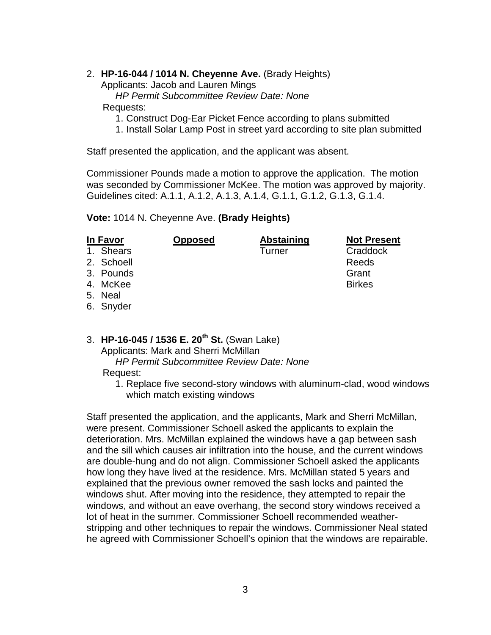#### 2. **HP-16-044 / 1014 N. Cheyenne Ave.** (Brady Heights)

Applicants: Jacob and Lauren Mings

*HP Permit Subcommittee Review Date: None*

Requests:

- 1. Construct Dog-Ear Picket Fence according to plans submitted
- 1. Install Solar Lamp Post in street yard according to site plan submitted

Staff presented the application, and the applicant was absent.

Commissioner Pounds made a motion to approve the application. The motion was seconded by Commissioner McKee. The motion was approved by majority. Guidelines cited: A.1.1, A.1.2, A.1.3, A.1.4, G.1.1, G.1.2, G.1.3, G.1.4.

**Vote:** 1014 N. Cheyenne Ave. **(Brady Heights)**

| In Favor   | <b>Opposed</b> | <b>Abstaining</b> | <b>Not Present</b> |
|------------|----------------|-------------------|--------------------|
| 1. Shears  |                | Turner            | Craddock           |
| 2. Schoell |                |                   | Reeds              |
| 3. Pounds  |                |                   | Grant              |
| 4. McKee   |                |                   | <b>Birkes</b>      |
| 5. Neal    |                |                   |                    |
| 6. Snyder  |                |                   |                    |

3. **HP-16-045 / 1536 E. 20th St.** (Swan Lake)

Applicants: Mark and Sherri McMillan

*HP Permit Subcommittee Review Date: None*

Request:

1. Replace five second-story windows with aluminum-clad, wood windows which match existing windows

Staff presented the application, and the applicants, Mark and Sherri McMillan, were present. Commissioner Schoell asked the applicants to explain the deterioration. Mrs. McMillan explained the windows have a gap between sash and the sill which causes air infiltration into the house, and the current windows are double-hung and do not align. Commissioner Schoell asked the applicants how long they have lived at the residence. Mrs. McMillan stated 5 years and explained that the previous owner removed the sash locks and painted the windows shut. After moving into the residence, they attempted to repair the windows, and without an eave overhang, the second story windows received a lot of heat in the summer. Commissioner Schoell recommended weatherstripping and other techniques to repair the windows. Commissioner Neal stated he agreed with Commissioner Schoell's opinion that the windows are repairable.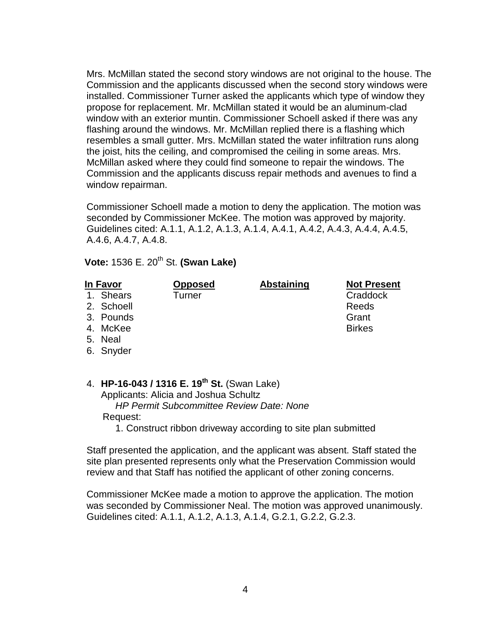Mrs. McMillan stated the second story windows are not original to the house. The Commission and the applicants discussed when the second story windows were installed. Commissioner Turner asked the applicants which type of window they propose for replacement. Mr. McMillan stated it would be an aluminum-clad window with an exterior muntin. Commissioner Schoell asked if there was any flashing around the windows. Mr. McMillan replied there is a flashing which resembles a small gutter. Mrs. McMillan stated the water infiltration runs along the joist, hits the ceiling, and compromised the ceiling in some areas. Mrs. McMillan asked where they could find someone to repair the windows. The Commission and the applicants discuss repair methods and avenues to find a window repairman.

Commissioner Schoell made a motion to deny the application. The motion was seconded by Commissioner McKee. The motion was approved by majority. Guidelines cited: A.1.1, A.1.2, A.1.3, A.1.4, A.4.1, A.4.2, A.4.3, A.4.4, A.4.5, A.4.6, A.4.7, A.4.8.

 **Vote: 1536 E. 20<sup>th</sup> St. <b>(Swan Lake)** 

1. Shears Turner Craddock

 **In Favor Opposed Abstaining Not Present**

2. Schoell and the control of the control of the Reeds Reeds

- 3. Pounds Grant
- 4. McKee Birkes
- 5. Neal
- 6. Snyder
- 4. **HP-16-043 / 1316 E. 19th St.** (Swan Lake) Applicants: Alicia and Joshua Schultz *HP Permit Subcommittee Review Date: None* Request:
	- 1. Construct ribbon driveway according to site plan submitted

Staff presented the application, and the applicant was absent. Staff stated the site plan presented represents only what the Preservation Commission would review and that Staff has notified the applicant of other zoning concerns.

Commissioner McKee made a motion to approve the application. The motion was seconded by Commissioner Neal. The motion was approved unanimously. Guidelines cited: A.1.1, A.1.2, A.1.3, A.1.4, G.2.1, G.2.2, G.2.3.

4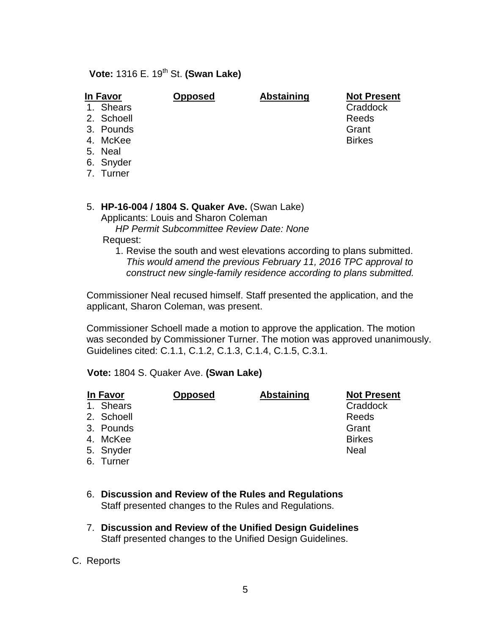## **Vote: 1316 E. 19<sup>th</sup> St. <b>(Swan Lake)**

### **In Favor Opposed Abstaining Not Present**

- 1. Shears Craddock
- 2. Schoell Reeds
- 3. Pounds Grant Grant Control of the Grant Grant Grant Grant
- 4. McKee Birkes
- 5. Neal
- 6. Snyder
- 7. Turner

#### 5. **HP-16-004 / 1804 S. Quaker Ave.** (Swan Lake)

Applicants: Louis and Sharon Coleman

*HP Permit Subcommittee Review Date: None*

Request:

1. Revise the south and west elevations according to plans submitted. *This would amend the previous February 11, 2016 TPC approval to construct new single-family residence according to plans submitted.*

Commissioner Neal recused himself. Staff presented the application, and the applicant, Sharon Coleman, was present.

Commissioner Schoell made a motion to approve the application. The motion was seconded by Commissioner Turner. The motion was approved unanimously. Guidelines cited: C.1.1, C.1.2, C.1.3, C.1.4, C.1.5, C.3.1.

**Vote:** 1804 S. Quaker Ave. **(Swan Lake)**

| In Favor     | <b>Opposed</b> | <b>Abstaining</b> | <b>Not Present</b> |
|--------------|----------------|-------------------|--------------------|
| Shears<br>1. |                |                   | Craddock           |
| 2. Schoell   |                |                   | Reeds              |
| 3. Pounds    |                |                   | Grant              |
| 4. McKee     |                |                   | <b>Birkes</b>      |
| 5. Snyder    |                |                   | <b>Neal</b>        |
| 6. Turner    |                |                   |                    |
|              |                |                   |                    |

- 6. **Discussion and Review of the Rules and Regulations** Staff presented changes to the Rules and Regulations.
- 7. **Discussion and Review of the Unified Design Guidelines** Staff presented changes to the Unified Design Guidelines.
- C. Reports